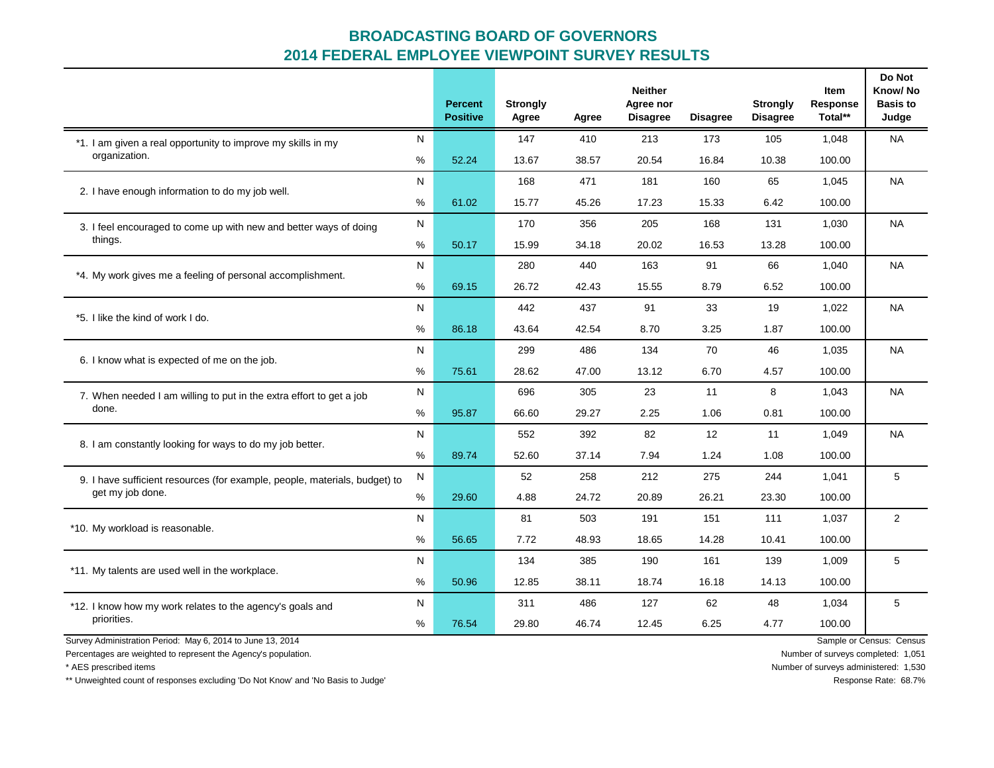|                                                                            |      | <b>Percent</b><br><b>Positive</b> | <b>Strongly</b><br>Agree | Agree | <b>Neither</b><br>Agree nor<br><b>Disagree</b> | <b>Disagree</b> | <b>Strongly</b><br><b>Disagree</b> | Item<br>Response<br>Total** | Do Not<br>Know/No<br><b>Basis to</b><br>Judge |
|----------------------------------------------------------------------------|------|-----------------------------------|--------------------------|-------|------------------------------------------------|-----------------|------------------------------------|-----------------------------|-----------------------------------------------|
| *1. I am given a real opportunity to improve my skills in my               | N    |                                   | 147                      | 410   | 213                                            | 173             | 105                                | 1,048                       | <b>NA</b>                                     |
| organization.                                                              | %    | 52.24                             | 13.67                    | 38.57 | 20.54                                          | 16.84           | 10.38                              | 100.00                      |                                               |
| 2. I have enough information to do my job well.                            | N    |                                   | 168                      | 471   | 181                                            | 160             | 65                                 | 1,045                       | <b>NA</b>                                     |
|                                                                            | %    | 61.02                             | 15.77                    | 45.26 | 17.23                                          | 15.33           | 6.42                               | 100.00                      |                                               |
| 3. I feel encouraged to come up with new and better ways of doing          | N    |                                   | 170                      | 356   | 205                                            | 168             | 131                                | 1,030                       | <b>NA</b>                                     |
| things.                                                                    | %    | 50.17                             | 15.99                    | 34.18 | 20.02                                          | 16.53           | 13.28                              | 100.00                      |                                               |
| *4. My work gives me a feeling of personal accomplishment.                 | N    |                                   | 280                      | 440   | 163                                            | 91              | 66                                 | 1,040                       | <b>NA</b>                                     |
|                                                                            | %    | 69.15                             | 26.72                    | 42.43 | 15.55                                          | 8.79            | 6.52                               | 100.00                      |                                               |
| *5. I like the kind of work I do.                                          | N    |                                   | 442                      | 437   | 91                                             | 33              | 19                                 | 1,022                       | <b>NA</b>                                     |
|                                                                            | $\%$ | 86.18                             | 43.64                    | 42.54 | 8.70                                           | 3.25            | 1.87                               | 100.00                      |                                               |
| 6. I know what is expected of me on the job.                               |      |                                   | 299                      | 486   | 134                                            | 70              | 46                                 | 1,035                       | <b>NA</b>                                     |
|                                                                            |      | 75.61                             | 28.62                    | 47.00 | 13.12                                          | 6.70            | 4.57                               | 100.00                      |                                               |
| 7. When needed I am willing to put in the extra effort to get a job        | N    |                                   | 696                      | 305   | 23                                             | 11              | 8                                  | 1,043                       | <b>NA</b>                                     |
| done.                                                                      | %    | 95.87                             | 66.60                    | 29.27 | 2.25                                           | 1.06            | 0.81                               | 100.00                      |                                               |
|                                                                            | N    |                                   | 552                      | 392   | 82                                             | 12              | 11                                 | 1,049                       | <b>NA</b>                                     |
| 8. I am constantly looking for ways to do my job better.                   | $\%$ | 89.74                             | 52.60                    | 37.14 | 7.94                                           | 1.24            | 1.08                               | 100.00                      |                                               |
| 9. I have sufficient resources (for example, people, materials, budget) to | N    |                                   | 52                       | 258   | 212                                            | 275             | 244                                | 1,041                       | 5                                             |
| get my job done.                                                           | $\%$ | 29.60                             | 4.88                     | 24.72 | 20.89                                          | 26.21           | 23.30                              | 100.00                      |                                               |
|                                                                            | N    |                                   | 81                       | 503   | 191                                            | 151             | 111                                | 1,037                       | 2                                             |
| *10. My workload is reasonable.                                            | %    | 56.65                             | 7.72                     | 48.93 | 18.65                                          | 14.28           | 10.41                              | 100.00                      |                                               |
|                                                                            | N    |                                   | 134                      | 385   | 190                                            | 161             | 139                                | 1,009                       | 5                                             |
| *11. My talents are used well in the workplace.                            | %    | 50.96                             | 12.85                    | 38.11 | 18.74                                          | 16.18           | 14.13                              | 100.00                      |                                               |
| *12. I know how my work relates to the agency's goals and                  | N    |                                   | 311                      | 486   | 127                                            | 62              | 48                                 | 1,034                       | 5                                             |
| priorities.                                                                | %    | 76.54                             | 29.80                    | 46.74 | 12.45                                          | 6.25            | 4.77                               | 100.00                      |                                               |
| Survey Administration Period: May 6, 2014 to June 13, 2014                 |      |                                   |                          |       |                                                |                 |                                    |                             | Sample or Census: Census                      |

Percentages are weighted to represent the Agency's population. Number of surveys completed: 1,051

\* AES prescribed items Number of surveys administered: 1,530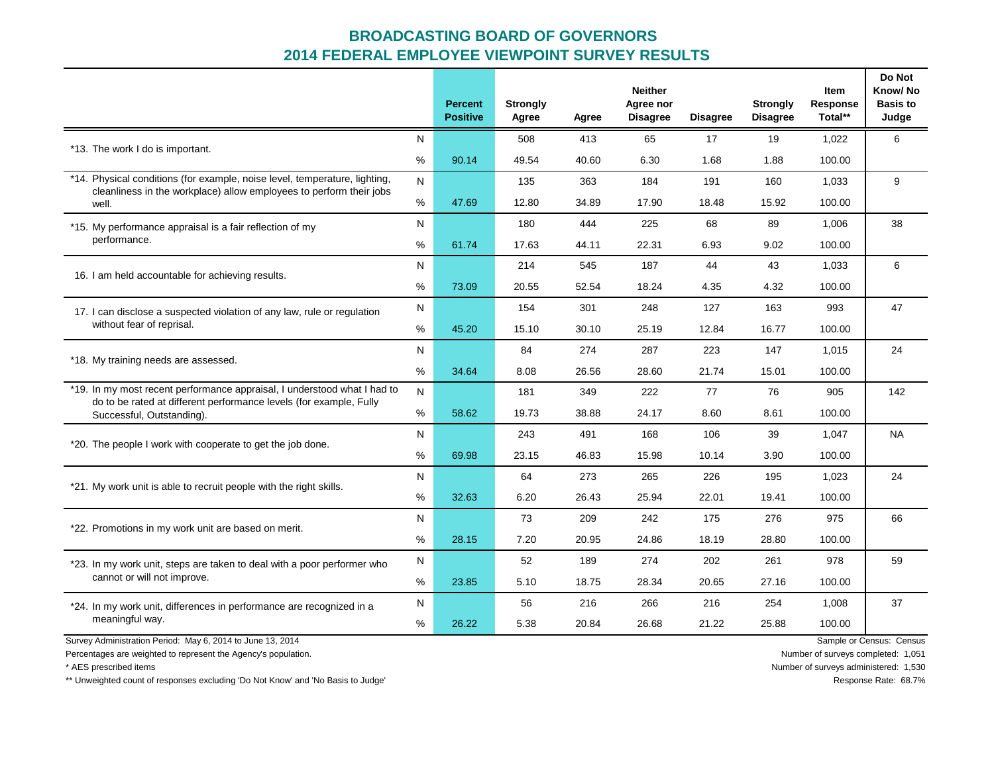|                                                                                                                                                   |           | <b>Percent</b><br><b>Positive</b> | <b>Strongly</b><br>Agree | Agree | <b>Neither</b><br>Agree nor<br><b>Disagree</b> | <b>Disagree</b> | <b>Strongly</b><br><b>Disagree</b> | Item<br>Response<br>Total** | Do Not<br>Know/No<br><b>Basis to</b><br>Judge |
|---------------------------------------------------------------------------------------------------------------------------------------------------|-----------|-----------------------------------|--------------------------|-------|------------------------------------------------|-----------------|------------------------------------|-----------------------------|-----------------------------------------------|
| *13. The work I do is important.                                                                                                                  | ${\sf N}$ |                                   | 508                      | 413   | 65                                             | 17              | 19                                 | 1,022                       | 6                                             |
|                                                                                                                                                   | $\%$      | 90.14                             | 49.54                    | 40.60 | 6.30                                           | 1.68            | 1.88                               | 100.00                      |                                               |
| *14. Physical conditions (for example, noise level, temperature, lighting,<br>cleanliness in the workplace) allow employees to perform their jobs | N         |                                   | 135                      | 363   | 184                                            | 191             | 160                                | 1,033                       | 9                                             |
| well.                                                                                                                                             | %         | 47.69                             | 12.80                    | 34.89 | 17.90                                          | 18.48           | 15.92                              | 100.00                      |                                               |
| *15. My performance appraisal is a fair reflection of my                                                                                          | N         |                                   | 180                      | 444   | 225                                            | 68              | 89                                 | 1,006                       | 38                                            |
| performance.                                                                                                                                      | %         | 61.74                             | 17.63                    | 44.11 | 22.31                                          | 6.93            | 9.02                               | 100.00                      |                                               |
| 16. I am held accountable for achieving results.                                                                                                  | N         |                                   | 214                      | 545   | 187                                            | 44              | 43                                 | 1,033                       | 6                                             |
|                                                                                                                                                   | %         | 73.09                             | 20.55                    | 52.54 | 18.24                                          | 4.35            | 4.32                               | 100.00                      |                                               |
| 17. I can disclose a suspected violation of any law, rule or regulation                                                                           | N         |                                   | 154                      | 301   | 248                                            | 127             | 163                                | 993                         | 47                                            |
| without fear of reprisal.                                                                                                                         | %         | 45.20                             | 15.10                    | 30.10 | 25.19                                          | 12.84           | 16.77                              | 100.00                      |                                               |
| *18. My training needs are assessed.                                                                                                              | N         |                                   | 84                       | 274   | 287                                            | 223             | 147                                | 1,015                       | 24                                            |
|                                                                                                                                                   | %         | 34.64                             | 8.08                     | 26.56 | 28.60                                          | 21.74           | 15.01                              | 100.00                      |                                               |
| *19. In my most recent performance appraisal, I understood what I had to<br>do to be rated at different performance levels (for example, Fully    | N         |                                   | 181                      | 349   | 222                                            | 77              | 76                                 | 905                         | 142                                           |
| Successful, Outstanding).                                                                                                                         | %         | 58.62                             | 19.73                    | 38.88 | 24.17                                          | 8.60            | 8.61                               | 100.00                      |                                               |
| *20. The people I work with cooperate to get the job done.                                                                                        | N         |                                   | 243                      | 491   | 168                                            | 106             | 39                                 | 1,047                       | <b>NA</b>                                     |
|                                                                                                                                                   | $\%$      | 69.98                             | 23.15                    | 46.83 | 15.98                                          | 10.14           | 3.90                               | 100.00                      |                                               |
| *21. My work unit is able to recruit people with the right skills.                                                                                | N         |                                   | 64                       | 273   | 265                                            | 226             | 195                                | 1,023                       | 24                                            |
|                                                                                                                                                   | %         | 32.63                             | 6.20                     | 26.43 | 25.94                                          | 22.01           | 19.41                              | 100.00                      |                                               |
| *22. Promotions in my work unit are based on merit.                                                                                               | N         |                                   | 73                       | 209   | 242                                            | 175             | 276                                | 975                         | 66                                            |
|                                                                                                                                                   | %         | 28.15                             | 7.20                     | 20.95 | 24.86                                          | 18.19           | 28.80                              | 100.00                      |                                               |
| *23. In my work unit, steps are taken to deal with a poor performer who                                                                           | N         |                                   | 52                       | 189   | 274                                            | 202             | 261                                | 978                         | 59                                            |
| cannot or will not improve.                                                                                                                       | %         | 23.85                             | 5.10                     | 18.75 | 28.34                                          | 20.65           | 27.16                              | 100.00                      |                                               |
| *24. In my work unit, differences in performance are recognized in a                                                                              | N         |                                   | 56                       | 216   | 266                                            | 216             | 254                                | 1,008                       | 37                                            |
| meaningful way.                                                                                                                                   | %         | 26.22                             | 5.38                     | 20.84 | 26.68                                          | 21.22           | 25.88                              | 100.00                      |                                               |
| Survey Administration Period: May 6, 2014 to June 13, 2014                                                                                        |           |                                   |                          |       |                                                |                 |                                    |                             | Sample or Census: Census                      |

Percentages are weighted to represent the Agency's population. Number of surveys completed: 1,051

\* AES prescribed items Number of surveys administered: 1,530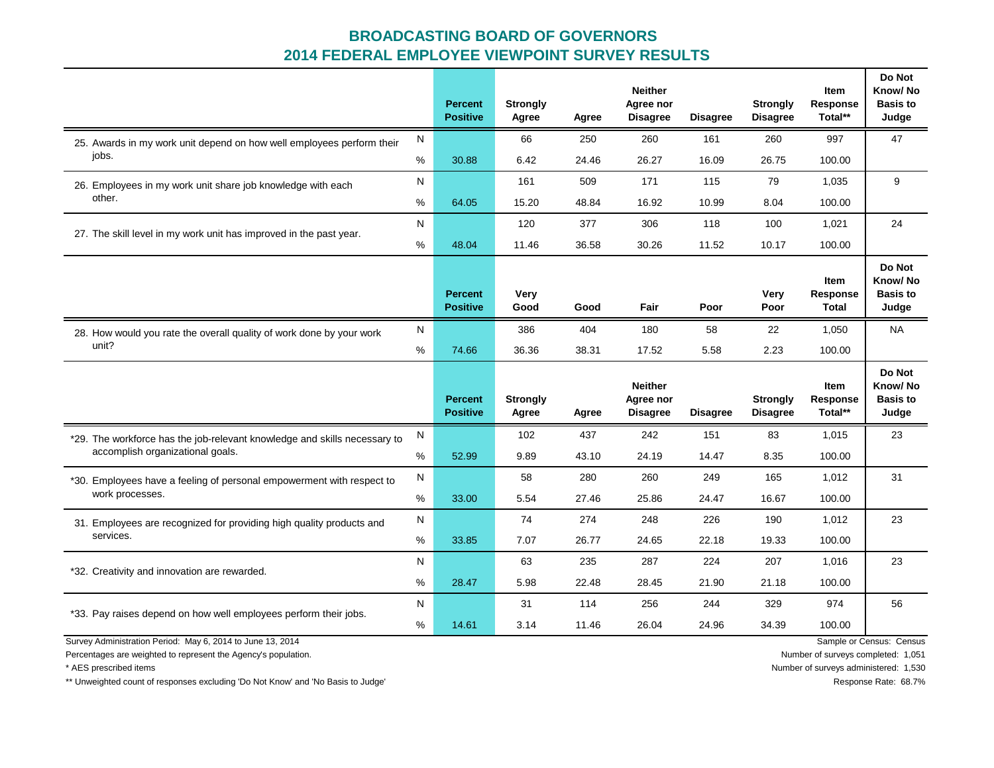|                                                                                                                                |      | <b>Percent</b><br><b>Positive</b> | <b>Strongly</b><br>Agree | Agree | <b>Neither</b><br>Agree nor<br><b>Disagree</b> | <b>Disagree</b> | <b>Strongly</b><br><b>Disagree</b> | <b>Item</b><br>Response<br>Total** | Do Not<br>Know/No<br><b>Basis to</b><br>Judge |
|--------------------------------------------------------------------------------------------------------------------------------|------|-----------------------------------|--------------------------|-------|------------------------------------------------|-----------------|------------------------------------|------------------------------------|-----------------------------------------------|
| 25. Awards in my work unit depend on how well employees perform their                                                          | N    |                                   | 66                       | 250   | 260                                            | 161             | 260                                | 997                                | 47                                            |
| jobs.                                                                                                                          | %    | 30.88                             | 6.42                     | 24.46 | 26.27                                          | 16.09           | 26.75                              | 100.00                             |                                               |
| 26. Employees in my work unit share job knowledge with each                                                                    | N    |                                   | 161                      | 509   | 171                                            | 115             | 79                                 | 1,035                              | 9                                             |
| other.                                                                                                                         | %    | 64.05                             | 15.20                    | 48.84 | 16.92                                          | 10.99           | 8.04                               | 100.00                             |                                               |
| 27. The skill level in my work unit has improved in the past year.                                                             | N    |                                   | 120                      | 377   | 306                                            | 118             | 100                                | 1,021                              | 24                                            |
|                                                                                                                                | %    | 48.04                             | 11.46                    | 36.58 | 30.26                                          | 11.52           | 10.17                              | 100.00                             |                                               |
|                                                                                                                                |      | <b>Percent</b><br><b>Positive</b> | <b>Very</b><br>Good      | Good  | Fair                                           | Poor            | Very<br>Poor                       | Item<br>Response<br>Total          | Do Not<br>Know/No<br><b>Basis to</b><br>Judge |
| 28. How would you rate the overall quality of work done by your work                                                           | N    |                                   | 386                      | 404   | 180                                            | 58              | 22                                 | 1,050                              | <b>NA</b>                                     |
| unit?                                                                                                                          | %    | 74.66                             | 36.36                    | 38.31 | 17.52                                          | 5.58            | 2.23                               | 100.00                             |                                               |
|                                                                                                                                |      |                                   |                          |       |                                                |                 |                                    |                                    |                                               |
|                                                                                                                                |      | <b>Percent</b><br><b>Positive</b> | <b>Strongly</b><br>Agree | Agree | <b>Neither</b><br>Agree nor<br><b>Disagree</b> | <b>Disagree</b> | <b>Strongly</b><br><b>Disagree</b> | <b>Item</b><br>Response<br>Total** | Do Not<br>Know/No<br><b>Basis to</b><br>Judge |
| *29. The workforce has the job-relevant knowledge and skills necessary to                                                      | N    |                                   | 102                      | 437   | 242                                            | 151             | 83                                 | 1,015                              | 23                                            |
| accomplish organizational goals.                                                                                               | %    | 52.99                             | 9.89                     | 43.10 | 24.19                                          | 14.47           | 8.35                               | 100.00                             |                                               |
| *30. Employees have a feeling of personal empowerment with respect to                                                          | N    |                                   | 58                       | 280   | 260                                            | 249             | 165                                | 1,012                              | 31                                            |
| work processes.                                                                                                                | $\%$ | 33.00                             | 5.54                     | 27.46 | 25.86                                          | 24.47           | 16.67                              | 100.00                             |                                               |
| 31. Employees are recognized for providing high quality products and                                                           | N    |                                   | 74                       | 274   | 248                                            | 226             | 190                                | 1,012                              | 23                                            |
| services.                                                                                                                      | %    | 33.85                             | 7.07                     | 26.77 | 24.65                                          | 22.18           | 19.33                              | 100.00                             |                                               |
|                                                                                                                                | N    |                                   | 63                       | 235   | 287                                            | 224             | 207                                | 1,016                              | 23                                            |
| *32. Creativity and innovation are rewarded.                                                                                   | %    | 28.47                             | 5.98                     | 22.48 | 28.45                                          | 21.90           | 21.18                              | 100.00                             |                                               |
|                                                                                                                                | N    |                                   | 31                       | 114   | 256                                            | 244             | 329                                | 974                                | 56                                            |
| *33. Pay raises depend on how well employees perform their jobs.<br>Survey Administration Period: May 6, 2014 to June 13, 2014 | %    | 14.61                             | 3.14                     | 11.46 | 26.04                                          | 24.96           | 34.39                              | 100.00                             | Sample or Census: Census                      |

Percentages are weighted to represent the Agency's population. Number of surveys completed: 1,051

\*\* Unweighted count of responses excluding 'Do Not Know' and 'No Basis to Judge' **Response Rate: 68.7%** Response Rate: 68.7%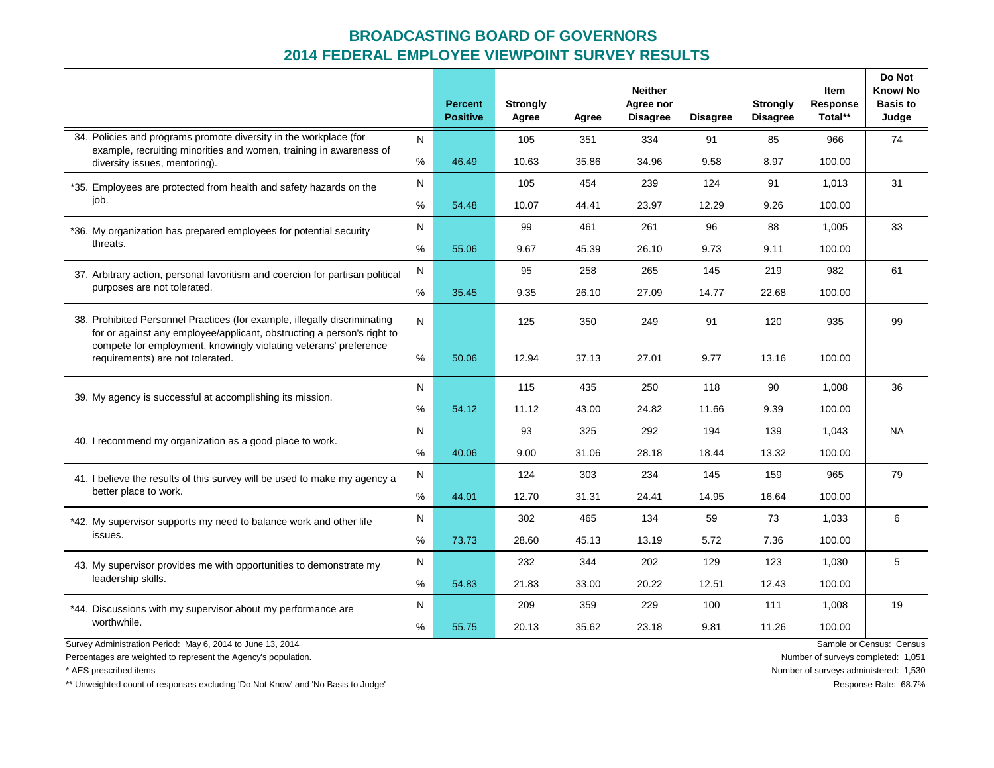|                                                                                                                                                                                                                         |      | <b>Percent</b><br><b>Positive</b> | <b>Strongly</b><br>Agree | Agree | <b>Neither</b><br>Agree nor<br><b>Disagree</b> | <b>Disagree</b> | <b>Strongly</b><br><b>Disagree</b> | Item<br><b>Response</b><br>Total** | Do Not<br>Know/No<br><b>Basis to</b><br>Judge |
|-------------------------------------------------------------------------------------------------------------------------------------------------------------------------------------------------------------------------|------|-----------------------------------|--------------------------|-------|------------------------------------------------|-----------------|------------------------------------|------------------------------------|-----------------------------------------------|
| 34. Policies and programs promote diversity in the workplace (for<br>example, recruiting minorities and women, training in awareness of                                                                                 | N    |                                   | 105                      | 351   | 334                                            | 91              | 85                                 | 966                                | 74                                            |
| diversity issues, mentoring).                                                                                                                                                                                           | $\%$ | 46.49                             | 10.63                    | 35.86 | 34.96                                          | 9.58            | 8.97                               | 100.00                             |                                               |
| *35. Employees are protected from health and safety hazards on the                                                                                                                                                      | N    |                                   | 105                      | 454   | 239                                            | 124             | 91                                 | 1,013                              | 31                                            |
| job.                                                                                                                                                                                                                    | %    | 54.48                             | 10.07                    | 44.41 | 23.97                                          | 12.29           | 9.26                               | 100.00                             |                                               |
| *36. My organization has prepared employees for potential security                                                                                                                                                      |      |                                   | 99                       | 461   | 261                                            | 96              | 88                                 | 1,005                              | 33                                            |
| threats.                                                                                                                                                                                                                | %    | 55.06                             | 9.67                     | 45.39 | 26.10                                          | 9.73            | 9.11                               | 100.00                             |                                               |
| 37. Arbitrary action, personal favoritism and coercion for partisan political                                                                                                                                           | N    |                                   | 95                       | 258   | 265                                            | 145             | 219                                | 982                                | 61                                            |
| purposes are not tolerated.                                                                                                                                                                                             | $\%$ | 35.45                             | 9.35                     | 26.10 | 27.09                                          | 14.77           | 22.68                              | 100.00                             |                                               |
| 38. Prohibited Personnel Practices (for example, illegally discriminating<br>for or against any employee/applicant, obstructing a person's right to<br>compete for employment, knowingly violating veterans' preference |      |                                   | 125                      | 350   | 249                                            | 91              | 120                                | 935                                | 99                                            |
| requirements) are not tolerated.                                                                                                                                                                                        | %    | 50.06                             | 12.94                    | 37.13 | 27.01                                          | 9.77            | 13.16                              | 100.00                             |                                               |
| 39. My agency is successful at accomplishing its mission.                                                                                                                                                               |      |                                   | 115                      | 435   | 250                                            | 118             | 90                                 | 1,008                              | 36                                            |
|                                                                                                                                                                                                                         | $\%$ | 54.12                             | 11.12                    | 43.00 | 24.82                                          | 11.66           | 9.39                               | 100.00                             |                                               |
| 40. I recommend my organization as a good place to work.                                                                                                                                                                | N    |                                   | 93                       | 325   | 292                                            | 194             | 139                                | 1,043                              | <b>NA</b>                                     |
|                                                                                                                                                                                                                         | %    | 40.06                             | 9.00                     | 31.06 | 28.18                                          | 18.44           | 13.32                              | 100.00                             |                                               |
| 41. I believe the results of this survey will be used to make my agency a                                                                                                                                               | N    |                                   | 124                      | 303   | 234                                            | 145             | 159                                | 965                                | 79                                            |
| better place to work.                                                                                                                                                                                                   | $\%$ | 44.01                             | 12.70                    | 31.31 | 24.41                                          | 14.95           | 16.64                              | 100.00                             |                                               |
| *42. My supervisor supports my need to balance work and other life                                                                                                                                                      | N    |                                   | 302                      | 465   | 134                                            | 59              | 73                                 | 1,033                              | 6                                             |
| issues.                                                                                                                                                                                                                 | $\%$ | 73.73                             | 28.60                    | 45.13 | 13.19                                          | 5.72            | 7.36                               | 100.00                             |                                               |
| 43. My supervisor provides me with opportunities to demonstrate my                                                                                                                                                      | N    |                                   | 232                      | 344   | 202                                            | 129             | 123                                | 1,030                              | 5                                             |
| leadership skills.                                                                                                                                                                                                      | %    | 54.83                             | 21.83                    | 33.00 | 20.22                                          | 12.51           | 12.43                              | 100.00                             |                                               |
| *44. Discussions with my supervisor about my performance are                                                                                                                                                            | N    |                                   | 209                      | 359   | 229                                            | 100             | 111                                | 1,008                              | 19                                            |
| worthwhile.                                                                                                                                                                                                             | %    | 55.75                             | 20.13                    | 35.62 | 23.18                                          | 9.81            | 11.26                              | 100.00                             |                                               |
| Survey Administration Period: May 6, 2014 to June 13, 2014                                                                                                                                                              |      |                                   |                          |       |                                                |                 |                                    |                                    | Sample or Census: Census                      |

Percentages are weighted to represent the Agency's population. Number of surveys completed: 1,051

\*\* Unweighted count of responses excluding 'Do Not Know' and 'No Basis to Judge' **Response Rate: 68.7%** Response Rate: 68.7%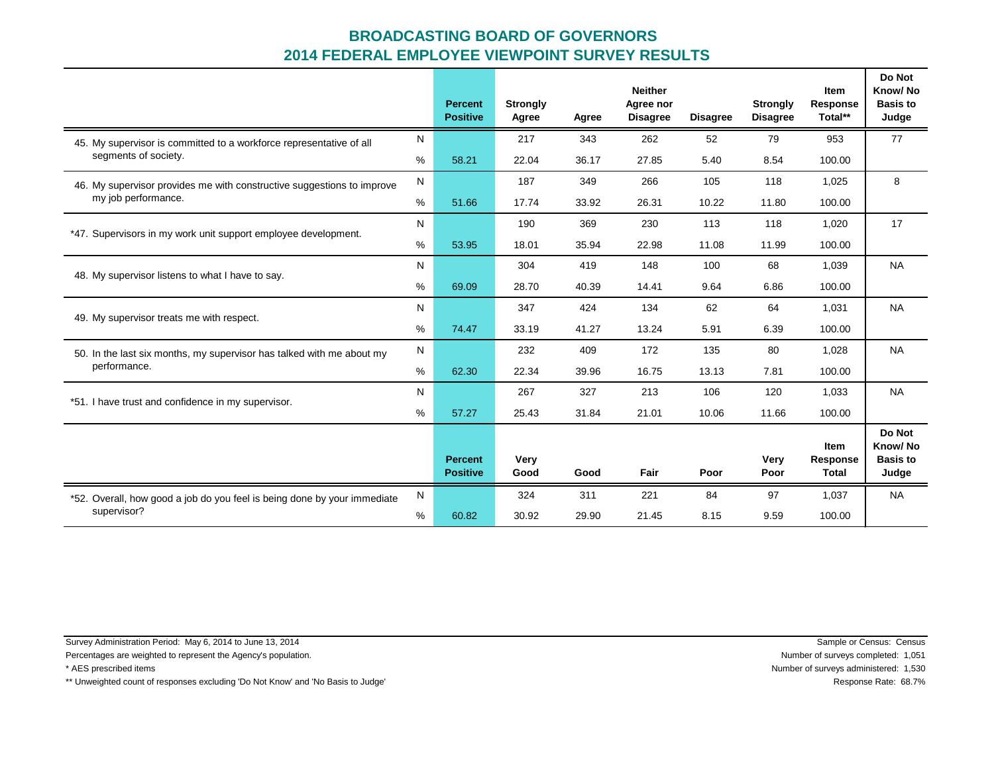|                                                                          |   | <b>Percent</b><br><b>Positive</b> | <b>Strongly</b><br>Agree | Agree | <b>Neither</b><br>Agree nor<br><b>Disagree</b> | <b>Disagree</b> | <b>Strongly</b><br><b>Disagree</b> | Item<br>Response<br>Total**      | Do Not<br>Know/No<br><b>Basis to</b><br>Judge |
|--------------------------------------------------------------------------|---|-----------------------------------|--------------------------|-------|------------------------------------------------|-----------------|------------------------------------|----------------------------------|-----------------------------------------------|
| 45. My supervisor is committed to a workforce representative of all      | N |                                   | 217                      | 343   | 262                                            | 52              | 79                                 | 953                              | 77                                            |
| segments of society.                                                     | % | 58.21                             | 22.04                    | 36.17 | 27.85                                          | 5.40            | 8.54                               | 100.00                           |                                               |
| 46. My supervisor provides me with constructive suggestions to improve   |   |                                   | 187                      | 349   | 266                                            | 105             | 118                                | 1,025                            | 8                                             |
| my job performance.                                                      | % | 51.66                             | 17.74                    | 33.92 | 26.31                                          | 10.22           | 11.80                              | 100.00                           |                                               |
| *47. Supervisors in my work unit support employee development.           |   |                                   | 190                      | 369   | 230                                            | 113             | 118                                | 1,020                            | 17                                            |
|                                                                          | % | 53.95                             | 18.01                    | 35.94 | 22.98                                          | 11.08           | 11.99                              | 100.00                           |                                               |
| 48. My supervisor listens to what I have to say.                         | N |                                   | 304                      | 419   | 148                                            | 100             | 68                                 | 1,039                            | <b>NA</b>                                     |
|                                                                          |   | 69.09                             | 28.70                    | 40.39 | 14.41                                          | 9.64            | 6.86                               | 100.00                           |                                               |
| 49. My supervisor treats me with respect.                                |   |                                   | 347                      | 424   | 134                                            | 62              | 64                                 | 1,031                            | <b>NA</b>                                     |
|                                                                          | % | 74.47                             | 33.19                    | 41.27 | 13.24                                          | 5.91            | 6.39                               | 100.00                           |                                               |
| 50. In the last six months, my supervisor has talked with me about my    |   |                                   | 232                      | 409   | 172                                            | 135             | 80                                 | 1,028                            | <b>NA</b>                                     |
| performance.                                                             | % | 62.30                             | 22.34                    | 39.96 | 16.75                                          | 13.13           | 7.81                               | 100.00                           |                                               |
| *51. I have trust and confidence in my supervisor.                       | N |                                   | 267                      | 327   | 213                                            | 106             | 120                                | 1,033                            | <b>NA</b>                                     |
|                                                                          | % | 57.27                             | 25.43                    | 31.84 | 21.01                                          | 10.06           | 11.66                              | 100.00                           |                                               |
|                                                                          |   | <b>Percent</b><br><b>Positive</b> | Very<br>Good             | Good  | Fair                                           | Poor            | <b>Very</b><br>Poor                | Item<br>Response<br><b>Total</b> | Do Not<br>Know/No<br><b>Basis to</b><br>Judge |
| *52. Overall, how good a job do you feel is being done by your immediate | N |                                   | 324                      | 311   | 221                                            | 84              | 97                                 | 1,037                            | <b>NA</b>                                     |
| supervisor?                                                              |   | 60.82                             | 30.92                    | 29.90 | 21.45                                          | 8.15            | 9.59                               | 100.00                           |                                               |

Survey Administration Period: May 6, 2014 to June 13, 2014 Sample or Census: Census

Percentages are weighted to represent the Agency's population. Number of surveys completed: 1,051

\*\* Unweighted count of responses excluding 'Do Not Know' and 'No Basis to Judge' **Response Rate: 68.7%** Response Rate: 68.7%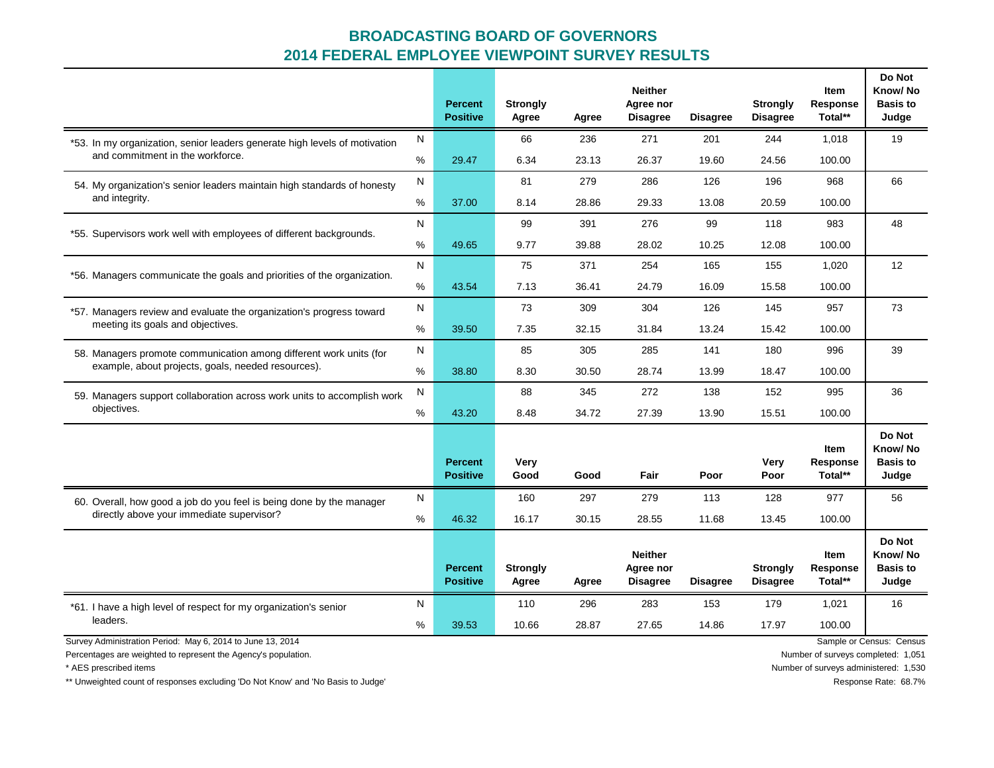|                                                                            |      | <b>Percent</b><br><b>Positive</b> | <b>Strongly</b><br>Agree | Agree | <b>Neither</b><br>Agree nor<br><b>Disagree</b> | <b>Disagree</b> | <b>Strongly</b><br><b>Disagree</b> | Item<br>Response<br>Total**        | Do Not<br>Know/No<br><b>Basis to</b><br>Judge |
|----------------------------------------------------------------------------|------|-----------------------------------|--------------------------|-------|------------------------------------------------|-----------------|------------------------------------|------------------------------------|-----------------------------------------------|
| *53. In my organization, senior leaders generate high levels of motivation | N    |                                   | 66                       | 236   | 271                                            | 201             | 244                                | 1,018                              | 19                                            |
| and commitment in the workforce.                                           | %    | 29.47                             | 6.34                     | 23.13 | 26.37                                          | 19.60           | 24.56                              | 100.00                             |                                               |
| 54. My organization's senior leaders maintain high standards of honesty    |      |                                   | 81                       | 279   | 286                                            | 126             | 196                                | 968                                | 66                                            |
| and integrity.                                                             | %    | 37.00                             | 8.14                     | 28.86 | 29.33                                          | 13.08           | 20.59                              | 100.00                             |                                               |
| *55. Supervisors work well with employees of different backgrounds.        |      |                                   | 99                       | 391   | 276                                            | 99              | 118                                | 983                                | 48                                            |
|                                                                            | $\%$ | 49.65                             | 9.77                     | 39.88 | 28.02                                          | 10.25           | 12.08                              | 100.00                             |                                               |
| *56. Managers communicate the goals and priorities of the organization.    | N    |                                   | 75                       | 371   | 254                                            | 165             | 155                                | 1,020                              | 12                                            |
|                                                                            |      | 43.54                             | 7.13                     | 36.41 | 24.79                                          | 16.09           | 15.58                              | 100.00                             |                                               |
| *57. Managers review and evaluate the organization's progress toward       | N    |                                   | 73                       | 309   | 304                                            | 126             | 145                                | 957                                | 73                                            |
| meeting its goals and objectives.                                          |      | 39.50                             | 7.35                     | 32.15 | 31.84                                          | 13.24           | 15.42                              | 100.00                             |                                               |
| 58. Managers promote communication among different work units (for         | N    |                                   | 85                       | 305   | 285                                            | 141             | 180                                | 996                                | 39                                            |
| example, about projects, goals, needed resources).                         |      | 38.80                             | 8.30                     | 30.50 | 28.74                                          | 13.99           | 18.47                              | 100.00                             |                                               |
| 59. Managers support collaboration across work units to accomplish work    |      |                                   | 88                       | 345   | 272                                            | 138             | 152                                | 995                                | 36                                            |
| objectives.                                                                | %    | 43.20                             | 8.48                     | 34.72 | 27.39                                          | 13.90           | 15.51                              | 100.00                             |                                               |
|                                                                            |      | <b>Percent</b><br><b>Positive</b> | Very<br>Good             | Good  | Fair                                           | Poor            | Very<br>Poor                       | <b>Item</b><br>Response<br>Total** | Do Not<br>Know/No<br><b>Basis to</b><br>Judge |
| 60. Overall, how good a job do you feel is being done by the manager       | N    |                                   | 160                      | 297   | 279                                            | 113             | 128                                | 977                                | 56                                            |
| directly above your immediate supervisor?                                  | %    | 46.32                             | 16.17                    | 30.15 | 28.55                                          | 11.68           | 13.45                              | 100.00                             |                                               |
|                                                                            |      | <b>Percent</b><br><b>Positive</b> | <b>Strongly</b><br>Agree | Agree | <b>Neither</b><br>Agree nor<br><b>Disagree</b> | <b>Disagree</b> | <b>Strongly</b><br><b>Disagree</b> | Item<br>Response<br>Total**        | Do Not<br>Know/No<br><b>Basis to</b><br>Judge |
| *61. I have a high level of respect for my organization's senior           | N    |                                   | 110                      | 296   | 283                                            | 153             | 179                                | 1,021                              | 16                                            |
| leaders.                                                                   | %    | 39.53                             | 10.66                    | 28.87 | 27.65                                          | 14.86           | 17.97                              | 100.00                             |                                               |
| Survey Administration Period: May 6, 2014 to June 13, 2014                 |      |                                   |                          |       |                                                |                 |                                    |                                    | Sample or Census: Census                      |

Percentages are weighted to represent the Agency's population. Number of surveys completed: 1,051

\*\* Unweighted count of responses excluding 'Do Not Know' and 'No Basis to Judge' **Response Rate: 68.7%** Response Rate: 68.7%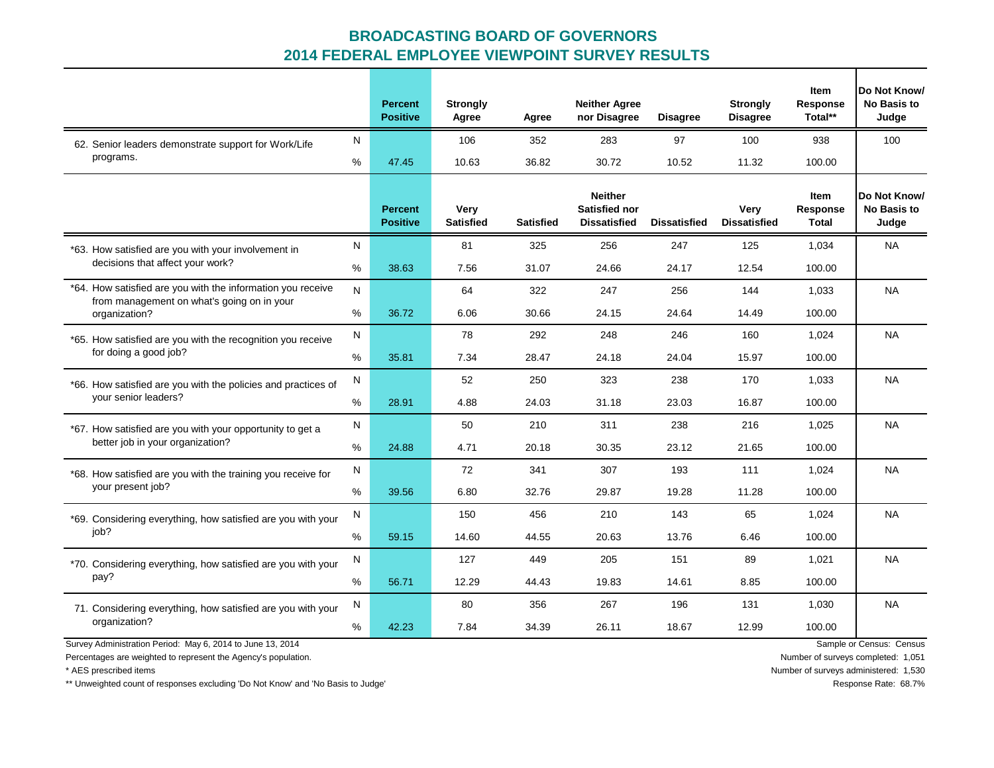|                                                               |    | <b>Percent</b><br><b>Positive</b> | <b>Strongly</b><br>Agree | Agree            | <b>Neither Agree</b><br>nor Disagree                          | <b>Disagree</b>     | <b>Strongly</b><br><b>Disagree</b> | Item<br><b>Response</b><br>Total** | Do Not Know/<br><b>No Basis to</b><br>Judge |
|---------------------------------------------------------------|----|-----------------------------------|--------------------------|------------------|---------------------------------------------------------------|---------------------|------------------------------------|------------------------------------|---------------------------------------------|
| 62. Senior leaders demonstrate support for Work/Life          | N  |                                   | 106                      | 352              | 283                                                           | 97                  | 100                                | 938                                | 100                                         |
| programs.                                                     | %  | 47.45                             | 10.63                    | 36.82            | 30.72                                                         | 10.52               | 11.32                              | 100.00                             |                                             |
|                                                               |    | <b>Percent</b><br><b>Positive</b> | Very<br><b>Satisfied</b> | <b>Satisfied</b> | <b>Neither</b><br><b>Satisfied nor</b><br><b>Dissatisfied</b> | <b>Dissatisfied</b> | Very<br><b>Dissatisfied</b>        | Item<br>Response<br><b>Total</b>   | Do Not Know/<br><b>No Basis to</b><br>Judge |
| *63. How satisfied are you with your involvement in           | N  |                                   | 81                       | 325              | 256                                                           | 247                 | 125                                | 1,034                              | NA.                                         |
| decisions that affect your work?                              | %  | 38.63                             | 7.56                     | 31.07            | 24.66                                                         | 24.17               | 12.54                              | 100.00                             |                                             |
| *64. How satisfied are you with the information you receive   | N. |                                   | 64                       | 322              | 247                                                           | 256                 | 144                                | 1.033                              | <b>NA</b>                                   |
| from management on what's going on in your<br>organization?   | %  | 36.72                             | 6.06                     | 30.66            | 24.15                                                         | 24.64               | 14.49                              | 100.00                             |                                             |
| *65. How satisfied are you with the recognition you receive   | N  |                                   | 78                       | 292              | 248                                                           | 246                 | 160                                | 1,024                              | <b>NA</b>                                   |
| for doing a good job?                                         | %  | 35.81                             | 7.34                     | 28.47            | 24.18                                                         | 24.04               | 15.97                              | 100.00                             |                                             |
| *66. How satisfied are you with the policies and practices of | N  |                                   | 52                       | 250              | 323                                                           | 238                 | 170                                | 1.033                              | <b>NA</b>                                   |
| your senior leaders?                                          | %  | 28.91                             | 4.88                     | 24.03            | 31.18                                                         | 23.03               | 16.87                              | 100.00                             |                                             |
| *67. How satisfied are you with your opportunity to get a     | N  |                                   | 50                       | 210              | 311                                                           | 238                 | 216                                | 1,025                              | <b>NA</b>                                   |
| better job in your organization?                              | %  | 24.88                             | 4.71                     | 20.18            | 30.35                                                         | 23.12               | 21.65                              | 100.00                             |                                             |
| *68. How satisfied are you with the training you receive for  | N  |                                   | 72                       | 341              | 307                                                           | 193                 | 111                                | 1,024                              | <b>NA</b>                                   |
| your present job?                                             | %  | 39.56                             | 6.80                     | 32.76            | 29.87                                                         | 19.28               | 11.28                              | 100.00                             |                                             |
| *69. Considering everything, how satisfied are you with your  | N  |                                   | 150                      | 456              | 210                                                           | 143                 | 65                                 | 1,024                              | <b>NA</b>                                   |
| job?                                                          | %  | 59.15                             | 14.60                    | 44.55            | 20.63                                                         | 13.76               | 6.46                               | 100.00                             |                                             |
| *70. Considering everything, how satisfied are you with your  | N  |                                   | 127                      | 449              | 205                                                           | 151                 | 89                                 | 1,021                              | <b>NA</b>                                   |
| pay?                                                          | %  | 56.71                             | 12.29                    | 44.43            | 19.83                                                         | 14.61               | 8.85                               | 100.00                             |                                             |
| 71. Considering everything, how satisfied are you with your   | N  |                                   | 80                       | 356              | 267                                                           | 196                 | 131                                | 1,030                              | <b>NA</b>                                   |
| organization?                                                 | %  | 42.23                             | 7.84                     | 34.39            | 26.11                                                         | 18.67               | 12.99                              | 100.00                             |                                             |

Survey Administration Period: May 6, 2014 to June 13, 2014 **Sample or Census: Census: Census**: Census: Census: Census: Census: Census: Census: Census: Census: Census: Census: Census: Census: Census: Census: Census: Census:

Percentages are weighted to represent the Agency's population. The Mumber of surveys completed: 1,051

\* AES prescribed items Number of surveys administered: 1,530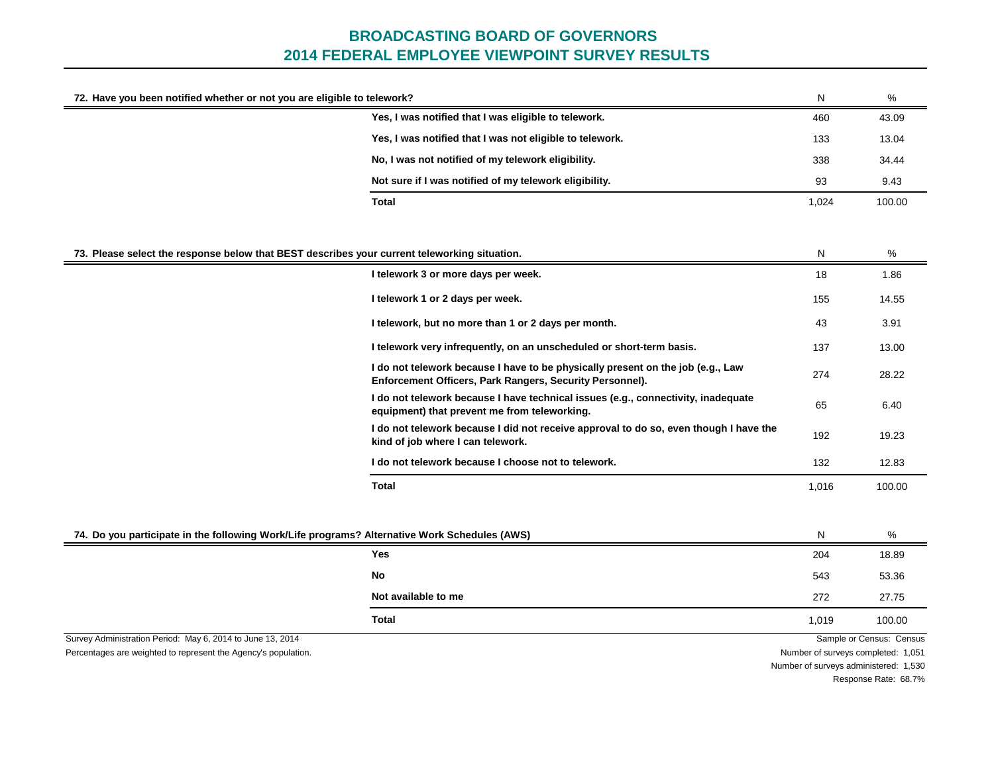| 72. Have you been notified whether or not you are eligible to telework?                                                      |                                                                                                                                             | N                                  | %                        |
|------------------------------------------------------------------------------------------------------------------------------|---------------------------------------------------------------------------------------------------------------------------------------------|------------------------------------|--------------------------|
|                                                                                                                              | Yes, I was notified that I was eligible to telework.                                                                                        | 460                                | 43.09                    |
|                                                                                                                              | Yes, I was notified that I was not eligible to telework.                                                                                    | 133                                | 13.04                    |
|                                                                                                                              | No, I was not notified of my telework eligibility.                                                                                          | 338                                | 34.44                    |
|                                                                                                                              | Not sure if I was notified of my telework eligibility.                                                                                      | 93                                 | 9.43                     |
|                                                                                                                              | Total                                                                                                                                       | 1,024                              | 100.00                   |
| 73. Please select the response below that BEST describes your current teleworking situation.                                 |                                                                                                                                             | N                                  | %                        |
|                                                                                                                              | I telework 3 or more days per week.                                                                                                         | 18                                 | 1.86                     |
|                                                                                                                              | I telework 1 or 2 days per week.                                                                                                            | 155                                | 14.55                    |
|                                                                                                                              | I telework, but no more than 1 or 2 days per month.                                                                                         | 43                                 | 3.91                     |
|                                                                                                                              | I telework very infrequently, on an unscheduled or short-term basis.                                                                        | 137                                | 13.00                    |
|                                                                                                                              | I do not telework because I have to be physically present on the job (e.g., Law<br>Enforcement Officers, Park Rangers, Security Personnel). | 274                                | 28.22                    |
|                                                                                                                              | I do not telework because I have technical issues (e.g., connectivity, inadequate<br>equipment) that prevent me from teleworking.           | 65                                 | 6.40                     |
|                                                                                                                              | I do not telework because I did not receive approval to do so, even though I have the<br>kind of job where I can telework.                  | 192                                | 19.23                    |
|                                                                                                                              | I do not telework because I choose not to telework.                                                                                         | 132                                | 12.83                    |
|                                                                                                                              | <b>Total</b>                                                                                                                                | 1,016                              | 100.00                   |
| 74. Do you participate in the following Work/Life programs? Alternative Work Schedules (AWS)                                 |                                                                                                                                             | N                                  | %                        |
|                                                                                                                              | Yes                                                                                                                                         | 204                                | 18.89                    |
|                                                                                                                              | No                                                                                                                                          | 543                                | 53.36                    |
|                                                                                                                              | Not available to me                                                                                                                         | 272                                | 27.75                    |
|                                                                                                                              | Total                                                                                                                                       | 1,019                              | 100.00                   |
| Survey Administration Period: May 6, 2014 to June 13, 2014<br>Percentages are weighted to represent the Agency's population. |                                                                                                                                             | Number of surveys completed: 1,051 | Sample or Census: Census |

Number of surveys administered: 1,530

Response Rate: 68.7%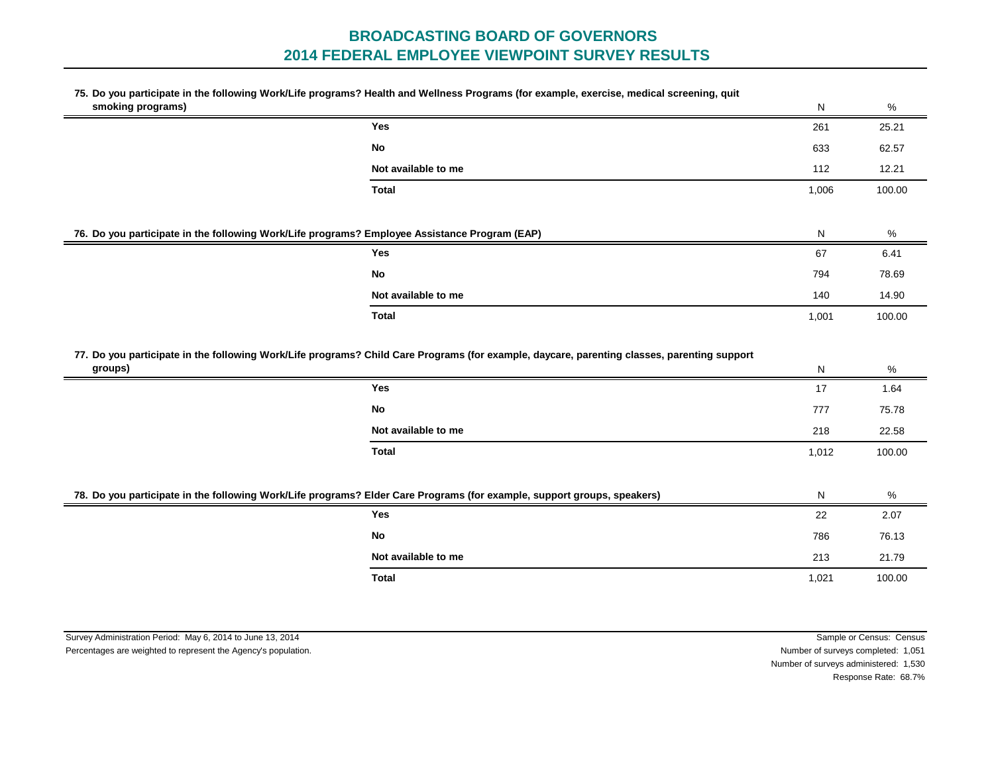#### **75. Do you participate in the following Work/Life programs? Health and Wellness Programs (for example, exercise, medical screening, quit smoking programs)**

| smoking programs) |                                                                                                                                             | N     | %      |  |  |  |  |
|-------------------|---------------------------------------------------------------------------------------------------------------------------------------------|-------|--------|--|--|--|--|
|                   | <b>Yes</b>                                                                                                                                  | 261   | 25.21  |  |  |  |  |
|                   | No                                                                                                                                          | 633   | 62.57  |  |  |  |  |
|                   | Not available to me                                                                                                                         | 112   | 12.21  |  |  |  |  |
|                   | Total                                                                                                                                       | 1,006 | 100.00 |  |  |  |  |
|                   |                                                                                                                                             |       |        |  |  |  |  |
|                   | 76. Do you participate in the following Work/Life programs? Employee Assistance Program (EAP)                                               |       |        |  |  |  |  |
|                   | <b>Yes</b>                                                                                                                                  | 67    | 6.41   |  |  |  |  |
|                   | No                                                                                                                                          | 794   | 78.69  |  |  |  |  |
|                   | Not available to me                                                                                                                         | 140   | 14.90  |  |  |  |  |
|                   | Total                                                                                                                                       | 1,001 | 100.00 |  |  |  |  |
|                   | 77. Do you participate in the following Work/Life programs? Child Care Programs (for example, daycare, parenting classes, parenting support |       |        |  |  |  |  |
|                   |                                                                                                                                             |       |        |  |  |  |  |

| groups) |                     | N     | %      |
|---------|---------------------|-------|--------|
|         | Yes                 | 17    | 1.64   |
|         | No                  | 777   | 75.78  |
|         | Not available to me | 218   | 22.58  |
|         | <b>Total</b>        | 1,012 | 100.00 |
|         |                     |       |        |
|         |                     |       |        |

| 78. Do you participate in the following Work/Life programs? Elder Care Programs (for example, support groups, speakers) |       | %      |
|-------------------------------------------------------------------------------------------------------------------------|-------|--------|
| Yes                                                                                                                     | 22    | 2.07   |
| No                                                                                                                      | 786   | 76.13  |
| Not available to me                                                                                                     | 213   | 21.79  |
| Total                                                                                                                   | 1,021 | 100.00 |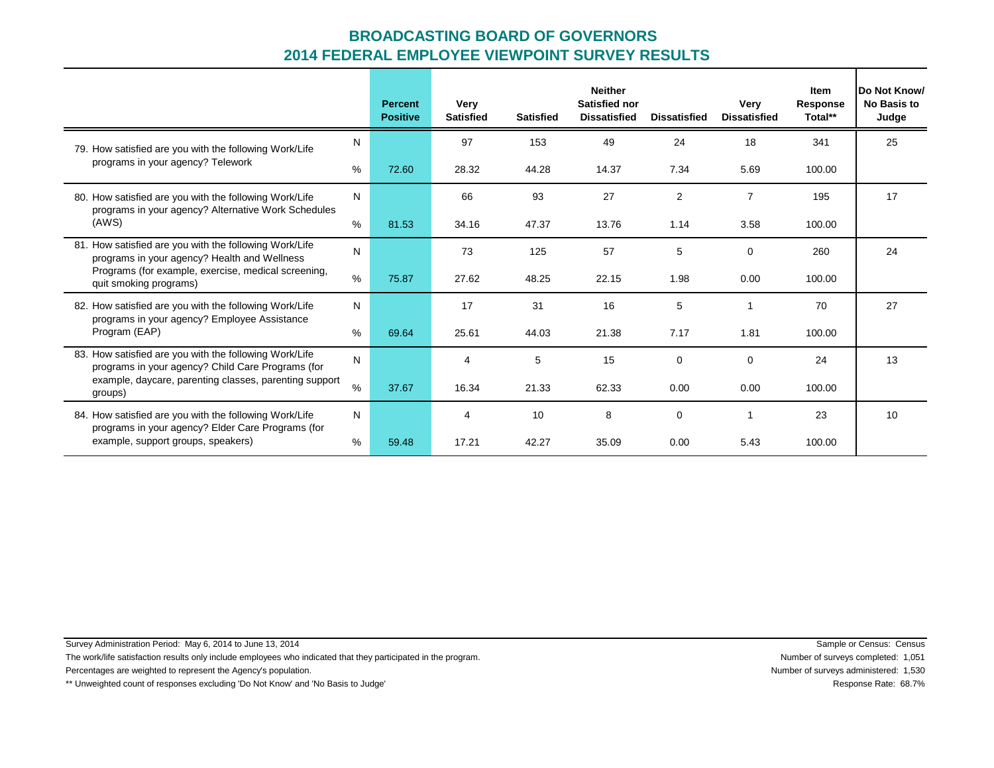|                                                                                                               |      | <b>Percent</b><br><b>Positive</b> | Very<br><b>Satisfied</b> | <b>Satisfied</b> | <b>Neither</b><br>Satisfied nor<br><b>Dissatisfied</b> | <b>Dissatisfied</b> | Very<br><b>Dissatisfied</b> | Item<br><b>Response</b><br>Total** | Do Not Know/<br><b>No Basis to</b><br>Judge |
|---------------------------------------------------------------------------------------------------------------|------|-----------------------------------|--------------------------|------------------|--------------------------------------------------------|---------------------|-----------------------------|------------------------------------|---------------------------------------------|
| 79. How satisfied are you with the following Work/Life                                                        | Ν    |                                   | 97                       | 153              | 49                                                     | 24                  | 18                          | 341                                | 25                                          |
| programs in your agency? Telework                                                                             | %    | 72.60                             | 28.32                    | 44.28            | 14.37                                                  | 7.34                | 5.69                        | 100.00                             |                                             |
| 80. How satisfied are you with the following Work/Life<br>programs in your agency? Alternative Work Schedules | N    |                                   | 66                       | 93               | 27                                                     | $\overline{2}$      | $\overline{7}$              | 195                                | 17                                          |
| (AWS)                                                                                                         | %    | 81.53                             | 34.16                    | 47.37            | 13.76                                                  | 1.14                | 3.58                        | 100.00                             |                                             |
| 81. How satisfied are you with the following Work/Life<br>programs in your agency? Health and Wellness        | N    |                                   | 73                       | 125              | 57                                                     | 5                   | $\mathbf 0$                 | 260                                | 24                                          |
| Programs (for example, exercise, medical screening,<br>quit smoking programs)                                 | $\%$ | 75.87                             | 27.62                    | 48.25            | 22.15                                                  | 1.98                | 0.00                        | 100.00                             |                                             |
| 82. How satisfied are you with the following Work/Life                                                        | N    |                                   | 17                       | 31               | 16                                                     | 5                   | 1                           | 70                                 | 27                                          |
| programs in your agency? Employee Assistance<br>Program (EAP)                                                 | %    | 69.64                             | 25.61                    | 44.03            | 21.38                                                  | 7.17                | 1.81                        | 100.00                             |                                             |
| 83. How satisfied are you with the following Work/Life<br>programs in your agency? Child Care Programs (for   | N    |                                   | 4                        | 5                | 15                                                     | $\mathbf 0$         | $\mathbf 0$                 | 24                                 | 13                                          |
| example, daycare, parenting classes, parenting support<br>groups)                                             | $\%$ | 37.67                             | 16.34                    | 21.33            | 62.33                                                  | 0.00                | 0.00                        | 100.00                             |                                             |
| 84. How satisfied are you with the following Work/Life                                                        | N    |                                   | 4                        | 10               | 8                                                      | $\mathbf 0$         |                             | 23                                 | 10                                          |
| programs in your agency? Elder Care Programs (for<br>example, support groups, speakers)                       | %    | 59.48                             | 17.21                    | 42.27            | 35.09                                                  | 0.00                | 5.43                        | 100.00                             |                                             |

Survey Administration Period: May 6, 2014 to June 13, 2014 Sample or Census: Census

The work/life satisfaction results only include employees who indicated that they participated in the program.<br>
The work/life satisfaction results only include employees who indicated that they participated in the program.

Percentages are weighted to represent the Agency's population. Number of surveys administered: 1,530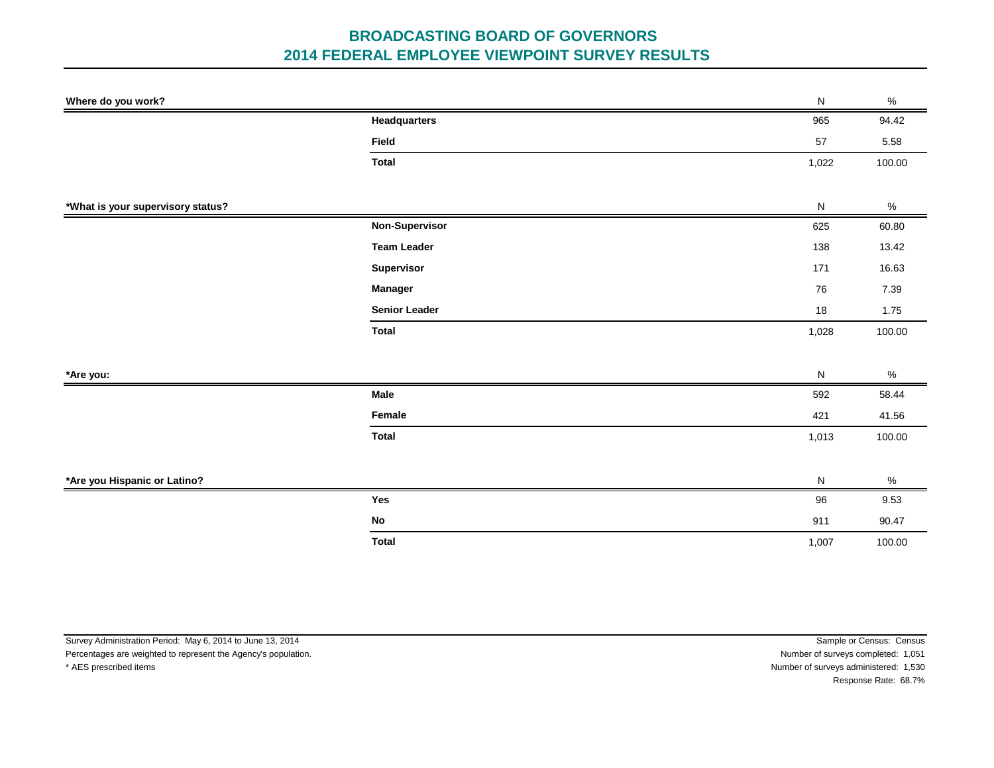| Where do you work?                |                      | ${\sf N}$ | $\%$   |
|-----------------------------------|----------------------|-----------|--------|
|                                   | <b>Headquarters</b>  | 965       | 94.42  |
|                                   | Field                | 57        | 5.58   |
|                                   | <b>Total</b>         | 1,022     | 100.00 |
|                                   |                      |           |        |
| *What is your supervisory status? |                      | ${\sf N}$ | $\%$   |
|                                   | Non-Supervisor       | 625       | 60.80  |
|                                   | <b>Team Leader</b>   | 138       | 13.42  |
|                                   | Supervisor           | 171       | 16.63  |
|                                   | Manager              | 76        | 7.39   |
|                                   | <b>Senior Leader</b> | 18        | 1.75   |
|                                   | <b>Total</b>         | 1,028     | 100.00 |
|                                   |                      |           |        |
| *Are you:                         |                      | ${\sf N}$ | $\%$   |
|                                   | Male                 | 592       | 58.44  |
|                                   | Female               | 421       | 41.56  |
|                                   | <b>Total</b>         | 1,013     | 100.00 |
|                                   |                      |           |        |
| *Are you Hispanic or Latino?      |                      | ${\sf N}$ | $\%$   |
|                                   | Yes                  | 96        | 9.53   |
|                                   | ${\sf No}$           | 911       | 90.47  |
|                                   | <b>Total</b>         | 1,007     | 100.00 |

| Sample or Census: Census              |
|---------------------------------------|
| Number of surveys completed: 1,051    |
| Number of surveys administered: 1,530 |
| Response Rate: 68.7%                  |
|                                       |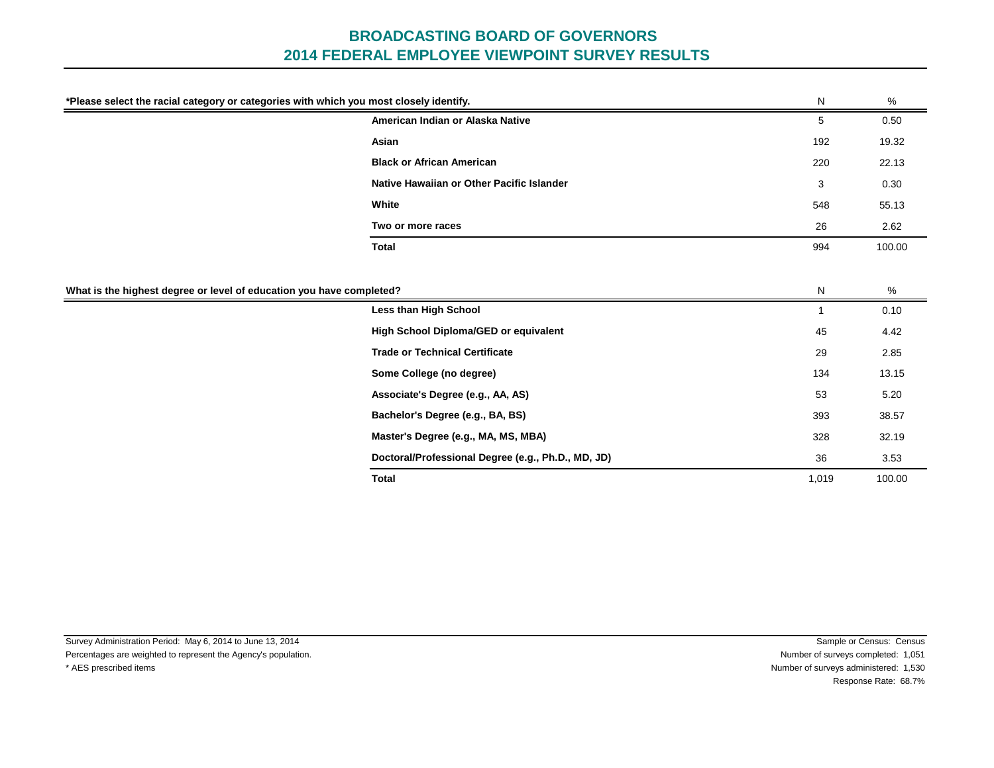| *Please select the racial category or categories with which you most closely identify. |                                           | N            | %      |
|----------------------------------------------------------------------------------------|-------------------------------------------|--------------|--------|
|                                                                                        | American Indian or Alaska Native          | 5            | 0.50   |
|                                                                                        | Asian                                     | 192          | 19.32  |
|                                                                                        | <b>Black or African American</b>          | 220          | 22.13  |
|                                                                                        | Native Hawaiian or Other Pacific Islander | 3            | 0.30   |
|                                                                                        | White                                     | 548          | 55.13  |
|                                                                                        | Two or more races                         | 26           | 2.62   |
|                                                                                        | <b>Total</b>                              | 994          | 100.00 |
|                                                                                        |                                           |              |        |
| What is the highest degree or level of education you have completed?                   |                                           | N            | %      |
|                                                                                        | Less than High School                     | $\mathbf{1}$ | 0.10   |
|                                                                                        |                                           |              |        |
|                                                                                        | High School Diploma/GED or equivalent     | 45           | 4.42   |
|                                                                                        | <b>Trade or Technical Certificate</b>     | 29           | 2.85   |
|                                                                                        | Some College (no degree)                  | 134          | 13.15  |
|                                                                                        | Associate's Degree (e.g., AA, AS)         | 53           | 5.20   |
|                                                                                        | Bachelor's Degree (e.g., BA, BS)          | 393          | 38.57  |
|                                                                                        | Master's Degree (e.g., MA, MS, MBA)       | 328          | 32.19  |

**Total**

\* AES prescribed items Number of surveys administered: 1,530 Response Rate: 68.7%

1,019 100.00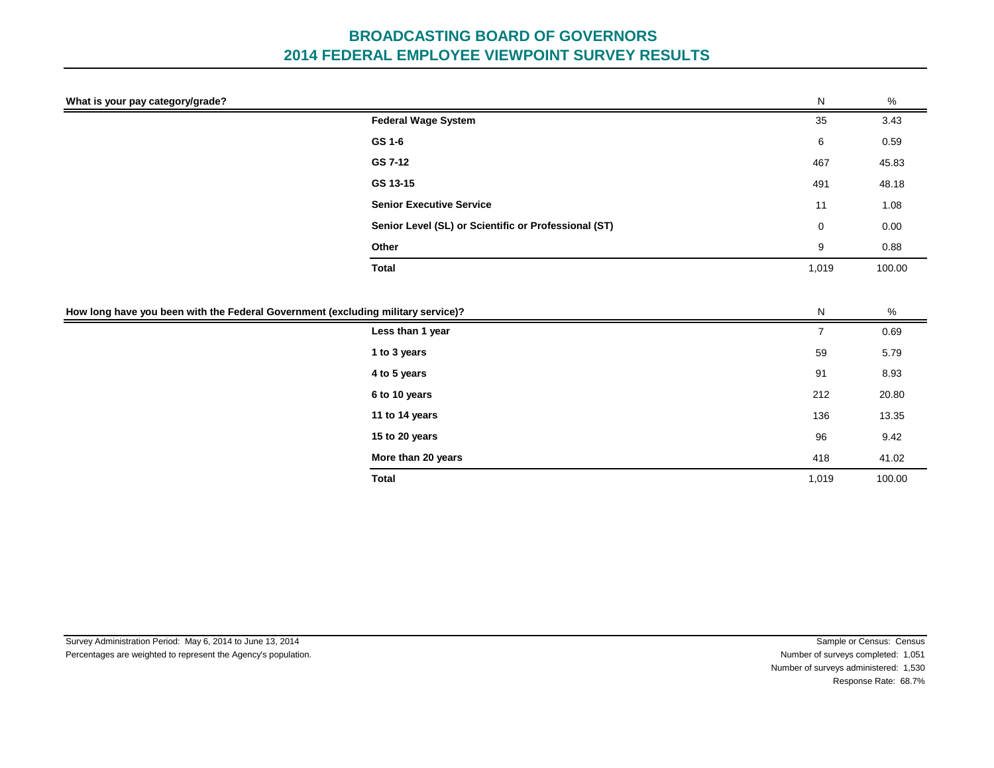| What is your pay category/grade?                                                 |                                                      | ${\sf N}$      | $\%$   |
|----------------------------------------------------------------------------------|------------------------------------------------------|----------------|--------|
|                                                                                  | <b>Federal Wage System</b>                           | 35             | 3.43   |
|                                                                                  | GS 1-6                                               | 6              | 0.59   |
|                                                                                  | GS 7-12                                              | 467            | 45.83  |
|                                                                                  | GS 13-15                                             | 491            | 48.18  |
|                                                                                  | <b>Senior Executive Service</b>                      | 11             | 1.08   |
|                                                                                  | Senior Level (SL) or Scientific or Professional (ST) | 0              | 0.00   |
|                                                                                  | Other                                                | 9              | 0.88   |
|                                                                                  | <b>Total</b>                                         | 1,019          | 100.00 |
|                                                                                  |                                                      |                |        |
| How long have you been with the Federal Government (excluding military service)? |                                                      | ${\sf N}$      | $\%$   |
|                                                                                  | Less than 1 year                                     | $\overline{7}$ | 0.69   |
|                                                                                  | 1 to 3 years                                         | 59             | 5.79   |
|                                                                                  | 4 to 5 years                                         | 91             | 8.93   |
|                                                                                  | 6 to 10 years                                        | 212            | 20.80  |
|                                                                                  | 11 to 14 years                                       | 136            | 13.35  |
|                                                                                  | 15 to 20 years                                       | 96             | 9.42   |
|                                                                                  | More than 20 years                                   | 418            | 41.02  |
|                                                                                  | <b>Total</b>                                         | 1,019          | 100.00 |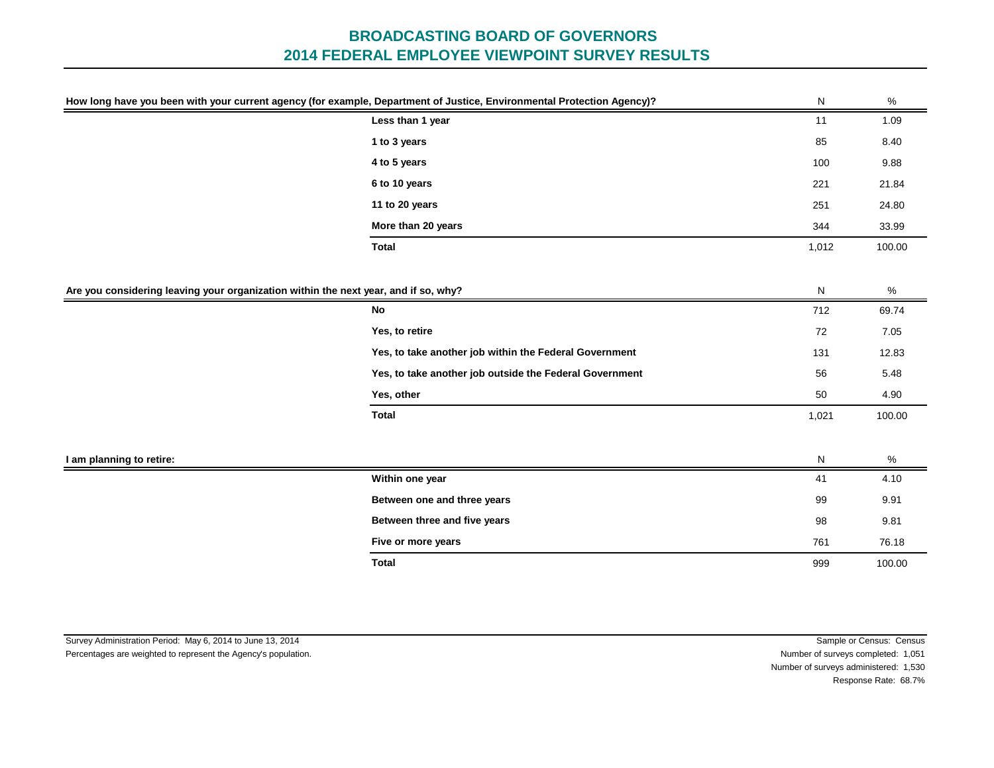| How long have you been with your current agency (for example, Department of Justice, Environmental Protection Agency)? |                                                                                     | ${\sf N}$ | $\%$   |
|------------------------------------------------------------------------------------------------------------------------|-------------------------------------------------------------------------------------|-----------|--------|
|                                                                                                                        | Less than 1 year                                                                    | 11        | 1.09   |
|                                                                                                                        | 1 to 3 years                                                                        | 85        | 8.40   |
|                                                                                                                        | 4 to 5 years                                                                        | 100       | 9.88   |
|                                                                                                                        | 6 to 10 years                                                                       | 221       | 21.84  |
|                                                                                                                        | 11 to 20 years                                                                      | 251       | 24.80  |
|                                                                                                                        | More than 20 years                                                                  | 344       | 33.99  |
|                                                                                                                        | <b>Total</b>                                                                        | 1,012     | 100.00 |
|                                                                                                                        |                                                                                     |           |        |
|                                                                                                                        | Are you considering leaving your organization within the next year, and if so, why? | ${\sf N}$ | %      |
|                                                                                                                        | No                                                                                  | 712       | 69.74  |
|                                                                                                                        | Yes, to retire                                                                      | 72        | 7.05   |
|                                                                                                                        | Yes, to take another job within the Federal Government                              | 131       | 12.83  |
|                                                                                                                        | Yes, to take another job outside the Federal Government                             | 56        | 5.48   |
|                                                                                                                        | Yes, other                                                                          | 50        | 4.90   |
|                                                                                                                        | <b>Total</b>                                                                        | 1,021     | 100.00 |
|                                                                                                                        |                                                                                     |           |        |
| I am planning to retire:                                                                                               |                                                                                     | N         | %      |
|                                                                                                                        | Within one year                                                                     | 41        | 4.10   |
|                                                                                                                        | Between one and three years                                                         | 99        | 9.91   |
|                                                                                                                        | Between three and five years                                                        | 98        | 9.81   |
|                                                                                                                        | Five or more years                                                                  | 761       | 76.18  |
|                                                                                                                        | <b>Total</b>                                                                        | 999       | 100.00 |

Survey Administration Period: May 6, 2014 to June 13, 2014 **Sample or Census:** Census: Census: Census: Census: Census: Census: Census: Census: Census: Census: Census: Census: Census: Census: Census: Census: Census: Census: Percentages are weighted to represent the Agency's population. Number of surveys completed: 1,051 Number of surveys administered: 1,530 Response Rate: 68.7%